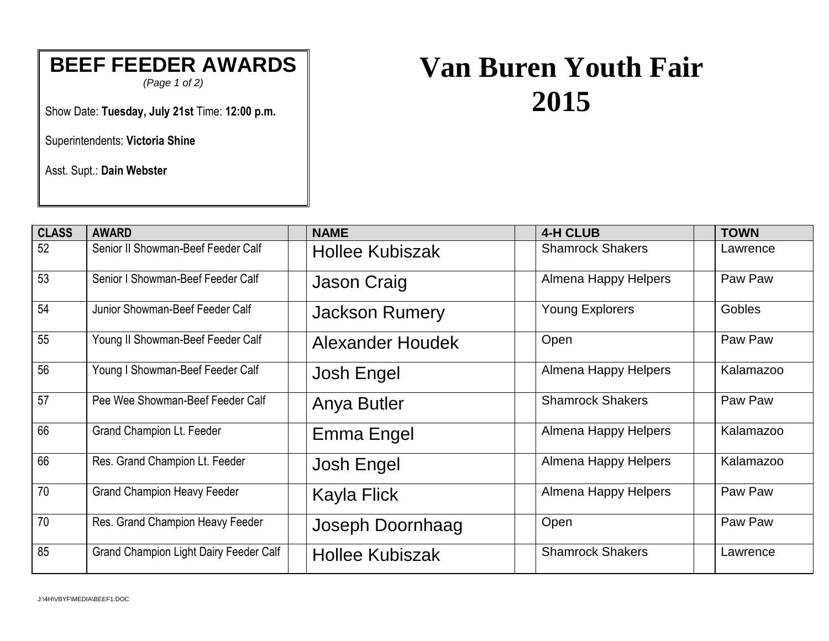## **BEEF FEEDER AWARDS**

*(Page 1 of 2)*

Show Date: **Tuesday, July 21st** Time: **12:00 p.m.**

Superintendents: **Victoria Shine**

Asst. Supt.: **Dain Webster**

## **Van Buren Youth Fair 2015**

| <b>CLASS</b> | <b>AWARD</b>                                  | <b>NAME</b>             | <b>4-H CLUB</b>         | <b>TOWN</b>   |
|--------------|-----------------------------------------------|-------------------------|-------------------------|---------------|
| 52           | Senior II Showman-Beef Feeder Calf            | <b>Hollee Kubiszak</b>  | <b>Shamrock Shakers</b> | Lawrence      |
| 53           | Senior I Showman-Beef Feeder Calf             | <b>Jason Craig</b>      | Almena Happy Helpers    | Paw Paw       |
| 54           | Junior Showman-Beef Feeder Calf               | <b>Jackson Rumery</b>   | <b>Young Explorers</b>  | <b>Gobles</b> |
| 55           | Young II Showman-Beef Feeder Calf             | <b>Alexander Houdek</b> | Open                    | Paw Paw       |
| 56           | Young I Showman-Beef Feeder Calf              | Josh Engel              | Almena Happy Helpers    | Kalamazoo     |
| 57           | Pee Wee Showman-Beef Feeder Calf              | Anya Butler             | <b>Shamrock Shakers</b> | Paw Paw       |
| 66           | <b>Grand Champion Lt. Feeder</b>              | Emma Engel              | Almena Happy Helpers    | Kalamazoo     |
| 66           | Res. Grand Champion Lt. Feeder                | Josh Engel              | Almena Happy Helpers    | Kalamazoo     |
| 70           | <b>Grand Champion Heavy Feeder</b>            | Kayla Flick             | Almena Happy Helpers    | Paw Paw       |
| 70           | Res. Grand Champion Heavy Feeder              | Joseph Doornhaag        | Open                    | Paw Paw       |
| 85           | <b>Grand Champion Light Dairy Feeder Calf</b> | <b>Hollee Kubiszak</b>  | <b>Shamrock Shakers</b> | Lawrence      |